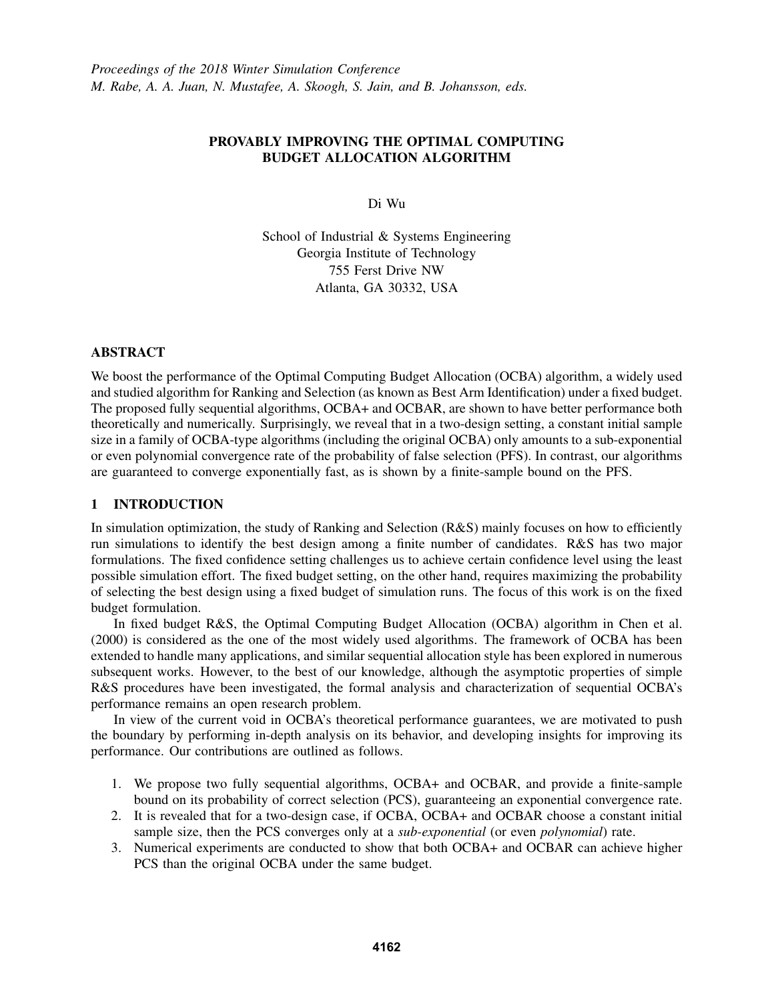# PROVABLY IMPROVING THE OPTIMAL COMPUTING BUDGET ALLOCATION ALGORITHM

Di Wu

School of Industrial & Systems Engineering Georgia Institute of Technology 755 Ferst Drive NW Atlanta, GA 30332, USA

### ABSTRACT

We boost the performance of the Optimal Computing Budget Allocation (OCBA) algorithm, a widely used and studied algorithm for Ranking and Selection (as known as Best Arm Identification) under a fixed budget. The proposed fully sequential algorithms, OCBA+ and OCBAR, are shown to have better performance both theoretically and numerically. Surprisingly, we reveal that in a two-design setting, a constant initial sample size in a family of OCBA-type algorithms (including the original OCBA) only amounts to a sub-exponential or even polynomial convergence rate of the probability of false selection (PFS). In contrast, our algorithms are guaranteed to converge exponentially fast, as is shown by a finite-sample bound on the PFS.

# 1 INTRODUCTION

In simulation optimization, the study of Ranking and Selection (R&S) mainly focuses on how to efficiently run simulations to identify the best design among a finite number of candidates. R&S has two major formulations. The fixed confidence setting challenges us to achieve certain confidence level using the least possible simulation effort. The fixed budget setting, on the other hand, requires maximizing the probability of selecting the best design using a fixed budget of simulation runs. The focus of this work is on the fixed budget formulation.

In fixed budget R&S, the Optimal Computing Budget Allocation (OCBA) algorithm in Chen et al. (2000) is considered as the one of the most widely used algorithms. The framework of OCBA has been extended to handle many applications, and similar sequential allocation style has been explored in numerous subsequent works. However, to the best of our knowledge, although the asymptotic properties of simple R&S procedures have been investigated, the formal analysis and characterization of sequential OCBA's performance remains an open research problem.

In view of the current void in OCBA's theoretical performance guarantees, we are motivated to push the boundary by performing in-depth analysis on its behavior, and developing insights for improving its performance. Our contributions are outlined as follows.

- 1. We propose two fully sequential algorithms, OCBA+ and OCBAR, and provide a finite-sample bound on its probability of correct selection (PCS), guaranteeing an exponential convergence rate.
- 2. It is revealed that for a two-design case, if OCBA, OCBA+ and OCBAR choose a constant initial sample size, then the PCS converges only at a *sub-exponential* (or even *polynomial*) rate.
- 3. Numerical experiments are conducted to show that both OCBA+ and OCBAR can achieve higher PCS than the original OCBA under the same budget.